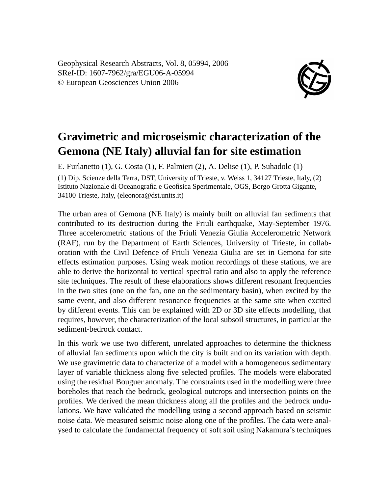Geophysical Research Abstracts, Vol. 8, 05994, 2006 SRef-ID: 1607-7962/gra/EGU06-A-05994 © European Geosciences Union 2006



## **Gravimetric and microseismic characterization of the Gemona (NE Italy) alluvial fan for site estimation**

E. Furlanetto (1), G. Costa (1), F. Palmieri (2), A. Delise (1), P. Suhadolc (1) (1) Dip. Scienze della Terra, DST, University of Trieste, v. Weiss 1, 34127 Trieste, Italy, (2) Istituto Nazionale di Oceanografia e Geofisica Sperimentale, OGS, Borgo Grotta Gigante, 34100 Trieste, Italy, (eleonora@dst.units.it)

The urban area of Gemona (NE Italy) is mainly built on alluvial fan sediments that contributed to its destruction during the Friuli earthquake, May-September 1976. Three accelerometric stations of the Friuli Venezia Giulia Accelerometric Network (RAF), run by the Department of Earth Sciences, University of Trieste, in collaboration with the Civil Defence of Friuli Venezia Giulia are set in Gemona for site effects estimation purposes. Using weak motion recordings of these stations, we are able to derive the horizontal to vertical spectral ratio and also to apply the reference site techniques. The result of these elaborations shows different resonant frequencies in the two sites (one on the fan, one on the sedimentary basin), when excited by the same event, and also different resonance frequencies at the same site when excited by different events. This can be explained with 2D or 3D site effects modelling, that requires, however, the characterization of the local subsoil structures, in particular the sediment-bedrock contact.

In this work we use two different, unrelated approaches to determine the thickness of alluvial fan sediments upon which the city is built and on its variation with depth. We use gravimetric data to characterize of a model with a homogeneous sedimentary layer of variable thickness along five selected profiles. The models were elaborated using the residual Bouguer anomaly. The constraints used in the modelling were three boreholes that reach the bedrock, geological outcrops and intersection points on the profiles. We derived the mean thickness along all the profiles and the bedrock undulations. We have validated the modelling using a second approach based on seismic noise data. We measured seismic noise along one of the profiles. The data were analysed to calculate the fundamental frequency of soft soil using Nakamura's techniques